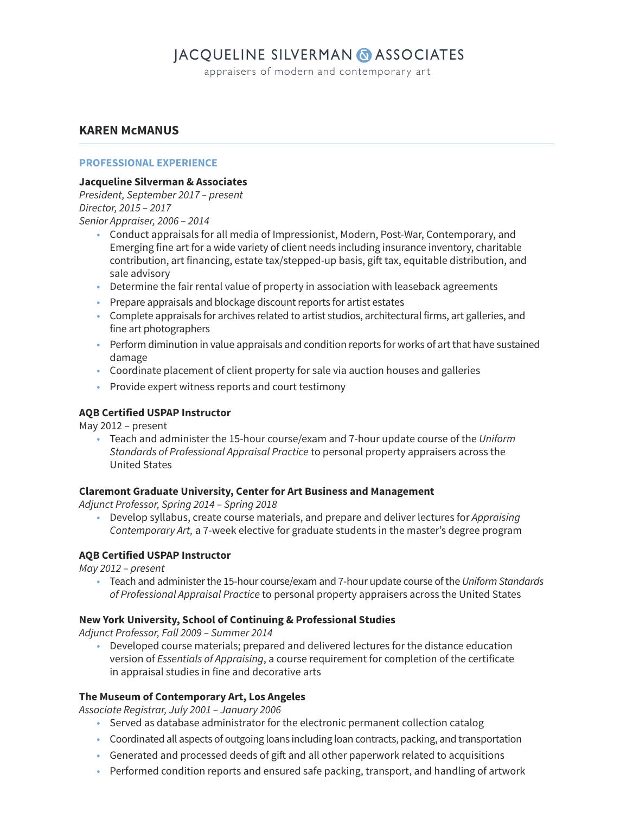## **JACQUELINE SILVERMAN & ASSOCIATES**

appraisers of modern and contemporary art

## **KAREN McMANUS**

#### **PROFESSIONAL EXPERIENCE**

#### **Jacqueline Silverman & Associates**

President, September 2017 – present Director, 2015 – 2017

Senior Appraiser, 2006 – 2014

- Conduct appraisals for all media of Impressionist, Modern, Post-War, Contemporary, and Emerging fine art for a wide variety of client needs including insurance inventory, charitable contribution, art financing, estate tax/stepped-up basis, gift tax, equitable distribution, and sale advisory
- Determine the fair rental value of property in association with leaseback agreements
- Prepare appraisals and blockage discount reports for artist estates
- Complete appraisals for archives related to artist studios, architectural firms, art galleries, and fine art photographers
- Perform diminution in value appraisals and condition reports for works of art that have sustained damage
- Coordinate placement of client property for sale via auction houses and galleries
- Provide expert witness reports and court testimony

## **AQB Certified USPAP Instructor**

May 2012 – present

• Teach and administer the 15-hour course/exam and 7-hour update course of the Uniform Standards of Professional Appraisal Practice to personal property appraisers across the United States

### **Claremont Graduate University, Center for Art Business and Management**

Adjunct Professor, Spring 2014 – Spring 2018

• Develop syllabus, create course materials, and prepare and deliver lectures for Appraising Contemporary Art, a 7-week elective for graduate students in the master's degree program

### **AQB Certified USPAP Instructor**

May 2012 – present

• Teach and administer the 15-hour course/exam and 7-hour update course of the Uniform Standards of Professional Appraisal Practice to personal property appraisers across the United States

### **New York University, School of Continuing & Professional Studies**

Adjunct Professor, Fall 2009 – Summer 2014

 • Developed course materials; prepared and delivered lectures for the distance education version of Essentials of Appraising, a course requirement for completion of the certificate in appraisal studies in fine and decorative arts

### **The Museum of Contemporary Art, Los Angeles**

Associate Registrar, July 2001 – January 2006

- Served as database administrator for the electronic permanent collection catalog
- Coordinated all aspects of outgoing loans including loan contracts, packing, and transportation
- Generated and processed deeds of gift and all other paperwork related to acquisitions
- Performed condition reports and ensured safe packing, transport, and handling of artwork